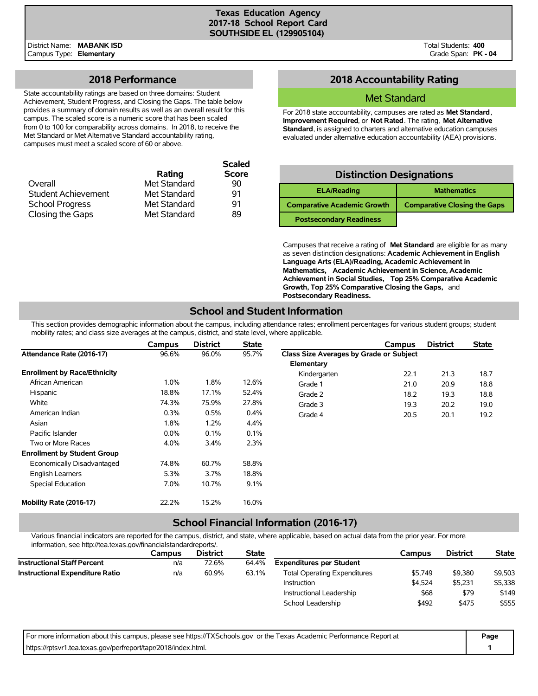#### **Texas Education Agency 2017-18 School Report Card SOUTHSIDE EL (129905104)**

District Name: **MABANK ISD** Campus Type: **Elementary**

Total Students: **400** Grade Span: **PK - 04**

### **2018 Performance**

State accountability ratings are based on three domains: Student Achievement, Student Progress, and Closing the Gaps. The table below provides a summary of domain results as well as an overall result for this campus. The scaled score is a numeric score that has been scaled from 0 to 100 for comparability across domains. In 2018, to receive the Met Standard or Met Alternative Standard accountability rating, campuses must meet a scaled score of 60 or above.

|                        |              | <b>Scaled</b> |
|------------------------|--------------|---------------|
|                        | Rating       | <b>Score</b>  |
| Overall                | Met Standard | 90            |
| Student Achievement    | Met Standard | 91            |
| <b>School Progress</b> | Met Standard | 91            |
| Closing the Gaps       | Met Standard | 89            |

## **2018 Accountability Rating**

### Met Standard

For 2018 state accountability, campuses are rated as **Met Standard**, **Improvement Required**, or **Not Rated**. The rating, **Met Alternative Standard**, is assigned to charters and alternative education campuses evaluated under alternative education accountability (AEA) provisions.

| <b>Distinction Designations</b>    |                                     |  |  |  |  |  |  |  |
|------------------------------------|-------------------------------------|--|--|--|--|--|--|--|
| <b>ELA/Reading</b>                 | <b>Mathematics</b>                  |  |  |  |  |  |  |  |
| <b>Comparative Academic Growth</b> | <b>Comparative Closing the Gaps</b> |  |  |  |  |  |  |  |
| <b>Postsecondary Readiness</b>     |                                     |  |  |  |  |  |  |  |

Campuses that receive a rating of **Met Standard** are eligible for as many as seven distinction designations: **Academic Achievement in English Language Arts (ELA)/Reading, Academic Achievement in Mathematics, Academic Achievement in Science, Academic Achievement in Social Studies, Top 25% Comparative Academic Growth, Top 25% Comparative Closing the Gaps,** and **Postsecondary Readiness.**

## **School and Student Information**

This section provides demographic information about the campus, including attendance rates; enrollment percentages for various student groups; student mobility rates; and class size averages at the campus, district, and state level, where applicable.

|                                     | Campus  | <b>District</b> | <b>State</b> |                                         | Campus | <b>District</b> | <b>State</b> |
|-------------------------------------|---------|-----------------|--------------|-----------------------------------------|--------|-----------------|--------------|
| Attendance Rate (2016-17)           | 96.6%   | 96.0%           | 95.7%        | Class Size Averages by Grade or Subject |        |                 |              |
|                                     |         |                 |              | Elementary                              |        |                 |              |
| <b>Enrollment by Race/Ethnicity</b> |         |                 |              | Kindergarten                            | 22.1   | 21.3            | 18.7         |
| African American                    | 1.0%    | 1.8%            | 12.6%        | Grade 1                                 | 21.0   | 20.9            | 18.8         |
| Hispanic                            | 18.8%   | 17.1%           | 52.4%        | Grade 2                                 | 18.2   | 19.3            | 18.8         |
| White                               | 74.3%   | 75.9%           | 27.8%        | Grade 3                                 | 19.3   | 20.2            | 19.0         |
| American Indian                     | 0.3%    | 0.5%            | $0.4\%$      | Grade 4                                 | 20.5   | 20.1            | 19.2         |
| Asian                               | 1.8%    | 1.2%            | 4.4%         |                                         |        |                 |              |
| Pacific Islander                    | $0.0\%$ | 0.1%            | 0.1%         |                                         |        |                 |              |
| Two or More Races                   | 4.0%    | 3.4%            | 2.3%         |                                         |        |                 |              |
| <b>Enrollment by Student Group</b>  |         |                 |              |                                         |        |                 |              |
| Economically Disadvantaged          | 74.8%   | 60.7%           | 58.8%        |                                         |        |                 |              |
| <b>English Learners</b>             | 5.3%    | 3.7%            | 18.8%        |                                         |        |                 |              |
| Special Education                   | 7.0%    | 10.7%           | 9.1%         |                                         |        |                 |              |
| Mobility Rate (2016-17)             | 22.2%   | 15.2%           | 16.0%        |                                         |        |                 |              |

## **School Financial Information (2016-17)**

Various financial indicators are reported for the campus, district, and state, where applicable, based on actual data from the prior year. For more information, see http://tea.texas.gov/financialstandardreports/.

|                                        | Campus | <b>District</b> | <b>State</b> |                                     | Campus  | <b>District</b> | <b>State</b> |
|----------------------------------------|--------|-----------------|--------------|-------------------------------------|---------|-----------------|--------------|
| <b>Instructional Staff Percent</b>     | n/a    | 72.6%           | 64.4%        | <b>Expenditures per Student</b>     |         |                 |              |
| <b>Instructional Expenditure Ratio</b> | n/a    | 60.9%           | 63.1%        | <b>Total Operating Expenditures</b> | \$5.749 | \$9,380         | \$9,503      |
|                                        |        |                 |              | Instruction                         | \$4.524 | \$5,231         | \$5,338      |
|                                        |        |                 |              | Instructional Leadership            | \$68    | \$79            | \$149        |
|                                        |        |                 |              | School Leadership                   | \$492   | \$475           | \$555        |

| For more information about this campus, please see https://TXSchools.gov or the Texas Academic Performance Report at | Page |
|----------------------------------------------------------------------------------------------------------------------|------|
| https://rptsvr1.tea.texas.gov/perfreport/tapr/2018/index.html.                                                       |      |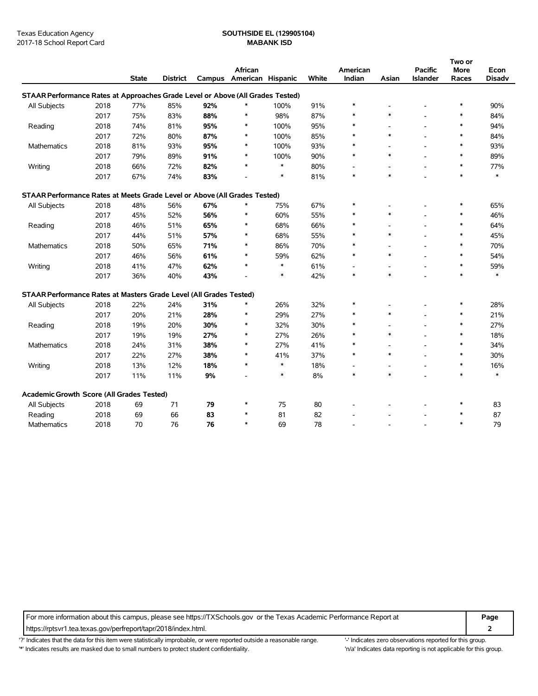## Texas Education Agency **SOUTHSIDE EL (129905104)**

|                                                                                |      |              |                 |        |                   |        |       |          |                          |                          | Two or |               |
|--------------------------------------------------------------------------------|------|--------------|-----------------|--------|-------------------|--------|-------|----------|--------------------------|--------------------------|--------|---------------|
|                                                                                |      |              |                 |        | African           |        |       | American |                          | <b>Pacific</b>           | More   | Econ          |
|                                                                                |      | <b>State</b> | <b>District</b> | Campus | American Hispanic |        | White | Indian   | Asian                    | Islander                 | Races  | <b>Disadv</b> |
| STAAR Performance Rates at Approaches Grade Level or Above (All Grades Tested) |      |              |                 |        |                   |        |       |          |                          |                          |        |               |
| All Subjects                                                                   | 2018 | 77%          | 85%             | 92%    | $\ast$            | 100%   | 91%   | $\ast$   |                          |                          | $\ast$ | 90%           |
|                                                                                | 2017 | 75%          | 83%             | 88%    | $\ast$            | 98%    | 87%   |          | $\ast$                   |                          | $\ast$ | 84%           |
| Reading                                                                        | 2018 | 74%          | 81%             | 95%    | $\ast$            | 100%   | 95%   |          |                          | $\overline{a}$           | $\ast$ | 94%           |
|                                                                                | 2017 | 72%          | 80%             | 87%    | $\ast$            | 100%   | 85%   | $\ast$   | $\ast$                   |                          | $\ast$ | 84%           |
| Mathematics                                                                    | 2018 | 81%          | 93%             | 95%    | $\ast$            | 100%   | 93%   | ∗        | ÷,                       | $\overline{\phantom{a}}$ | $\ast$ | 93%           |
|                                                                                | 2017 | 79%          | 89%             | 91%    | $\ast$            | 100%   | 90%   | *        | $\ast$                   |                          | $\ast$ | 89%           |
| Writing                                                                        | 2018 | 66%          | 72%             | 82%    | $\ast$            | $\ast$ | 80%   |          | ۰                        | $\overline{\phantom{a}}$ | $\ast$ | 77%           |
|                                                                                | 2017 | 67%          | 74%             | 83%    |                   | $\ast$ | 81%   | $\ast$   | $\ast$                   |                          | $\ast$ | $\ast$        |
| STAAR Performance Rates at Meets Grade Level or Above (All Grades Tested)      |      |              |                 |        |                   |        |       |          |                          |                          |        |               |
| All Subjects                                                                   | 2018 | 48%          | 56%             | 67%    | *                 | 75%    | 67%   | $\ast$   |                          |                          | $\ast$ | 65%           |
|                                                                                | 2017 | 45%          | 52%             | 56%    | $\ast$            | 60%    | 55%   |          | $\ast$                   |                          | $\ast$ | 46%           |
| Reading                                                                        | 2018 | 46%          | 51%             | 65%    | $\ast$            | 68%    | 66%   |          |                          | $\overline{a}$           | $\ast$ | 64%           |
|                                                                                | 2017 | 44%          | 51%             | 57%    | $\ast$            | 68%    | 55%   | *        | $\ast$                   |                          | $\ast$ | 45%           |
| <b>Mathematics</b>                                                             | 2018 | 50%          | 65%             | 71%    | $\ast$            | 86%    | 70%   | *        |                          |                          | $\ast$ | 70%           |
|                                                                                | 2017 | 46%          | 56%             | 61%    | $\ast$            | 59%    | 62%   | $\ast$   | $\ast$                   |                          | $\ast$ | 54%           |
| Writing                                                                        | 2018 | 41%          | 47%             | 62%    | $\ast$            | $\ast$ | 61%   |          | $\overline{\phantom{a}}$ | $\overline{a}$           | $\ast$ | 59%           |
|                                                                                | 2017 | 36%          | 40%             | 43%    | $\overline{a}$    | $\ast$ | 42%   | $\ast$   | $\ast$                   |                          | $\ast$ | *             |
| STAAR Performance Rates at Masters Grade Level (All Grades Tested)             |      |              |                 |        |                   |        |       |          |                          |                          |        |               |
| All Subjects                                                                   | 2018 | 22%          | 24%             | 31%    | $\ast$            | 26%    | 32%   | $\ast$   |                          |                          | $\ast$ | 28%           |
|                                                                                | 2017 | 20%          | 21%             | 28%    | $\ast$            | 29%    | 27%   | $\ast$   | $\ast$                   |                          | $\ast$ | 21%           |
| Reading                                                                        | 2018 | 19%          | 20%             | 30%    | $\ast$            | 32%    | 30%   | $\ast$   | ÷,                       | $\overline{\phantom{a}}$ | $\ast$ | 27%           |
|                                                                                | 2017 | 19%          | 19%             | 27%    | $\ast$            | 27%    | 26%   | *        | $\ast$                   |                          | $\ast$ | 18%           |
| Mathematics                                                                    | 2018 | 24%          | 31%             | 38%    | $\ast$            | 27%    | 41%   | $\ast$   |                          |                          | $\ast$ | 34%           |
|                                                                                | 2017 | 22%          | 27%             | 38%    | *                 | 41%    | 37%   | $\ast$   | $\ast$                   | $\overline{a}$           | $\ast$ | 30%           |
| Writing                                                                        | 2018 | 13%          | 12%             | 18%    | $\ast$            | $\ast$ | 18%   |          | ٠                        | $\overline{a}$           | $\ast$ | 16%           |
|                                                                                | 2017 | 11%          | 11%             | 9%     |                   | $\ast$ | 8%    | $\ast$   | $\ast$                   |                          | $\ast$ | $\ast$        |
| Academic Growth Score (All Grades Tested)                                      |      |              |                 |        |                   |        |       |          |                          |                          |        |               |
| All Subjects                                                                   | 2018 | 69           | 71              | 79     | $\ast$            | 75     | 80    |          |                          |                          | $\ast$ | 83            |
| Reading                                                                        | 2018 | 69           | 66              | 83     | $\ast$            | 81     | 82    |          |                          |                          | $\ast$ | 87            |
| <b>Mathematics</b>                                                             | 2018 | 70           | 76              | 76     | $\ast$            | 69     | 78    |          |                          |                          | $\ast$ | 79            |

For more information about this campus, please see https://TXSchools.gov or the Texas Academic Performance Report at **Page**

https://rptsvr1.tea.texas.gov/perfreport/tapr/2018/index.html. **2**

'?' Indicates that the data for this item were statistically improbable, or were reported outside a reasonable range. '' Indicates zero observations reported for this group.

'\*' Indicates results are masked due to small numbers to protect student confidentiality. Moreover, the this group in/a' Indicates data reporting is not applicable for this group.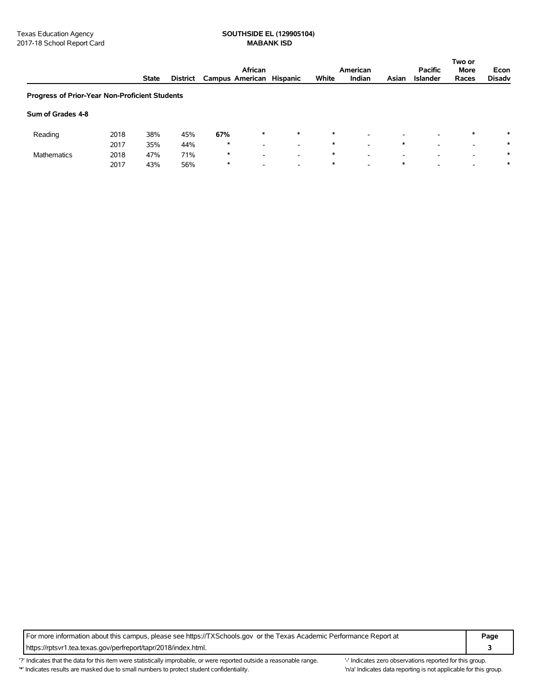# Texas Education Agency<br>
2017-18 School Report Card<br> **SOUTHSIDE EL (129905104)**<br> **MABANK ISD**

|                                                |      |              |                 | African<br>American      |                          |                          |        |                          |                          | <b>Pacific</b>           |                          | Econ          |
|------------------------------------------------|------|--------------|-----------------|--------------------------|--------------------------|--------------------------|--------|--------------------------|--------------------------|--------------------------|--------------------------|---------------|
|                                                |      | <b>State</b> | <b>District</b> | Campus American Hispanic |                          |                          | White  | Indian                   | Asian                    | <b>Islander</b>          | Races                    | <b>Disadv</b> |
| Progress of Prior-Year Non-Proficient Students |      |              |                 |                          |                          |                          |        |                          |                          |                          |                          |               |
| Sum of Grades 4-8                              |      |              |                 |                          |                          |                          |        |                          |                          |                          |                          |               |
| Reading                                        | 2018 | 38%          | 45%             | 67%                      | $\ast$                   | $\ast$                   | $\ast$ | $\overline{\phantom{a}}$ | $\overline{\phantom{0}}$ | $\overline{\phantom{0}}$ | $\ast$                   | $\ast$        |
|                                                | 2017 | 35%          | 44%             | $\star$                  | $\overline{\phantom{0}}$ | $\overline{\phantom{a}}$ | $\ast$ | $\overline{\phantom{a}}$ | $\ast$                   | -                        | $\overline{\phantom{a}}$ | *             |
| <b>Mathematics</b>                             | 2018 | 47%          | 71%             | $\star$                  | $\overline{\phantom{0}}$ | $\overline{\phantom{0}}$ | $\ast$ | $\overline{\phantom{0}}$ | $\overline{\phantom{0}}$ | $\overline{\phantom{0}}$ | $\overline{\phantom{0}}$ | *             |
|                                                | 2017 | 43%          | 56%             | $\ast$                   | $\overline{\phantom{0}}$ | $\overline{\phantom{0}}$ | $\ast$ | $\overline{\phantom{a}}$ | *                        | $\overline{\phantom{a}}$ | $\overline{\phantom{0}}$ | *             |

For more information about this campus, please see https://TXSchools.gov or the Texas Academic Performance Report at **Page** https://rptsvr1.tea.texas.gov/perfreport/tapr/2018/index.html. **3**

'?' Indicates that the data for this item were statistically improbable, or were reported outside a reasonable range. "Indicates zero observations reported for this group. '\*' Indicates results are masked due to small numbers to protect student confidentiality. 
"n/a' Indicates data reporting is not applicable for this group.